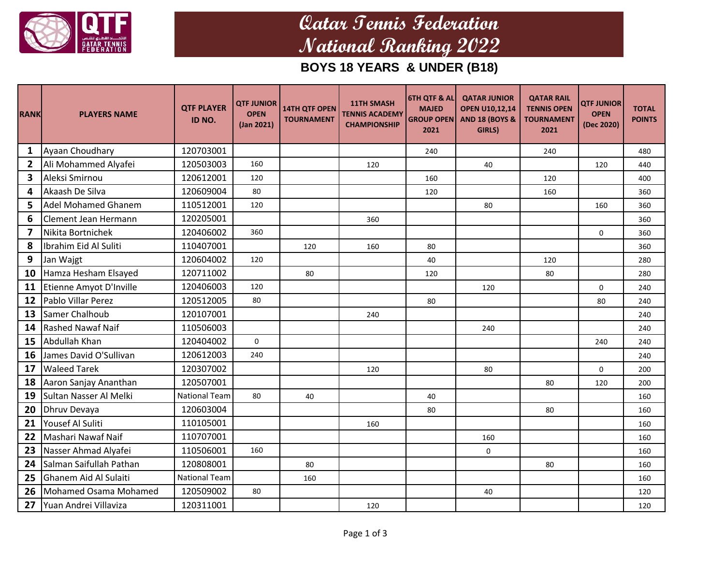

## **Qatar Tennis Federation National Ranking 2022**

**BOYS 18 YEARS & UNDER (B18)**

| <b>RANK</b>    | <b>PLAYERS NAME</b>          | <b>QTF PLAYER</b><br>ID NO. | <b>QTF JUNIOR</b><br><b>OPEN</b><br>(Jan 2021) | <b>14TH QTF OPEN</b><br><b>TOURNAMENT</b> | <b>11TH SMASH</b><br><b>TENNIS ACADEMY</b><br><b>CHAMPIONSHIP</b> | <b>6TH QTF &amp; AL</b><br><b>MAJED</b><br><b>GROUP OPEN</b><br>2021 | <b>QATAR JUNIOR</b><br><b>OPEN U10,12,14</b><br><b>AND 18 (BOYS &amp;</b><br>GIRLS) | <b>QATAR RAIL</b><br><b>TENNIS OPEN</b><br><b>TOURNAMENT</b><br>2021 | <b>QTF JUNIOR</b><br><b>OPEN</b><br>(Dec 2020) | <b>TOTAL</b><br><b>POINTS</b> |
|----------------|------------------------------|-----------------------------|------------------------------------------------|-------------------------------------------|-------------------------------------------------------------------|----------------------------------------------------------------------|-------------------------------------------------------------------------------------|----------------------------------------------------------------------|------------------------------------------------|-------------------------------|
| 1              | Ayaan Choudhary              | 120703001                   |                                                |                                           |                                                                   | 240                                                                  |                                                                                     | 240                                                                  |                                                | 480                           |
| $\overline{2}$ | Ali Mohammed Alyafei         | 120503003                   | 160                                            |                                           | 120                                                               |                                                                      | 40                                                                                  |                                                                      | 120                                            | 440                           |
| 3              | Aleksi Smirnou               | 120612001                   | 120                                            |                                           |                                                                   | 160                                                                  |                                                                                     | 120                                                                  |                                                | 400                           |
| 4              | Akaash De Silva              | 120609004                   | 80                                             |                                           |                                                                   | 120                                                                  |                                                                                     | 160                                                                  |                                                | 360                           |
| 5              | <b>Adel Mohamed Ghanem</b>   | 110512001                   | 120                                            |                                           |                                                                   |                                                                      | 80                                                                                  |                                                                      | 160                                            | 360                           |
| 6              | Clement Jean Hermann         | 120205001                   |                                                |                                           | 360                                                               |                                                                      |                                                                                     |                                                                      |                                                | 360                           |
| 7              | Nikita Bortnichek            | 120406002                   | 360                                            |                                           |                                                                   |                                                                      |                                                                                     |                                                                      | $\mathbf 0$                                    | 360                           |
| 8              | Ibrahim Eid Al Suliti        | 110407001                   |                                                | 120                                       | 160                                                               | 80                                                                   |                                                                                     |                                                                      |                                                | 360                           |
| 9              | Jan Wajgt                    | 120604002                   | 120                                            |                                           |                                                                   | 40                                                                   |                                                                                     | 120                                                                  |                                                | 280                           |
| 10             | Hamza Hesham Elsayed         | 120711002                   |                                                | 80                                        |                                                                   | 120                                                                  |                                                                                     | 80                                                                   |                                                | 280                           |
| 11             | Etienne Amyot D'Inville      | 120406003                   | 120                                            |                                           |                                                                   |                                                                      | 120                                                                                 |                                                                      | 0                                              | 240                           |
| 12             | Pablo Villar Perez           | 120512005                   | 80                                             |                                           |                                                                   | 80                                                                   |                                                                                     |                                                                      | 80                                             | 240                           |
| 13             | Samer Chalhoub               | 120107001                   |                                                |                                           | 240                                                               |                                                                      |                                                                                     |                                                                      |                                                | 240                           |
| 14             | <b>Rashed Nawaf Naif</b>     | 110506003                   |                                                |                                           |                                                                   |                                                                      | 240                                                                                 |                                                                      |                                                | 240                           |
| 15             | Abdullah Khan                | 120404002                   | $\Omega$                                       |                                           |                                                                   |                                                                      |                                                                                     |                                                                      | 240                                            | 240                           |
| 16             | James David O'Sullivan       | 120612003                   | 240                                            |                                           |                                                                   |                                                                      |                                                                                     |                                                                      |                                                | 240                           |
| 17             | <b>Waleed Tarek</b>          | 120307002                   |                                                |                                           | 120                                                               |                                                                      | 80                                                                                  |                                                                      | $\mathbf 0$                                    | 200                           |
| 18             | Aaron Sanjay Ananthan        | 120507001                   |                                                |                                           |                                                                   |                                                                      |                                                                                     | 80                                                                   | 120                                            | 200                           |
| 19             | Sultan Nasser Al Melki       | <b>National Team</b>        | 80                                             | 40                                        |                                                                   | 40                                                                   |                                                                                     |                                                                      |                                                | 160                           |
| 20             | Dhruv Devaya                 | 120603004                   |                                                |                                           |                                                                   | 80                                                                   |                                                                                     | 80                                                                   |                                                | 160                           |
| 21             | Yousef Al Suliti             | 110105001                   |                                                |                                           | 160                                                               |                                                                      |                                                                                     |                                                                      |                                                | 160                           |
| 22             | Mashari Nawaf Naif           | 110707001                   |                                                |                                           |                                                                   |                                                                      | 160                                                                                 |                                                                      |                                                | 160                           |
| 23             | Nasser Ahmad Alyafei         | 110506001                   | 160                                            |                                           |                                                                   |                                                                      | 0                                                                                   |                                                                      |                                                | 160                           |
| 24             | Salman Saifullah Pathan      | 120808001                   |                                                | 80                                        |                                                                   |                                                                      |                                                                                     | 80                                                                   |                                                | 160                           |
| 25             | <b>Ghanem Aid Al Sulaiti</b> | <b>National Team</b>        |                                                | 160                                       |                                                                   |                                                                      |                                                                                     |                                                                      |                                                | 160                           |
| 26             | <b>Mohamed Osama Mohamed</b> | 120509002                   | 80                                             |                                           |                                                                   |                                                                      | 40                                                                                  |                                                                      |                                                | 120                           |
| 27             | Yuan Andrei Villaviza        | 120311001                   |                                                |                                           | 120                                                               |                                                                      |                                                                                     |                                                                      |                                                | 120                           |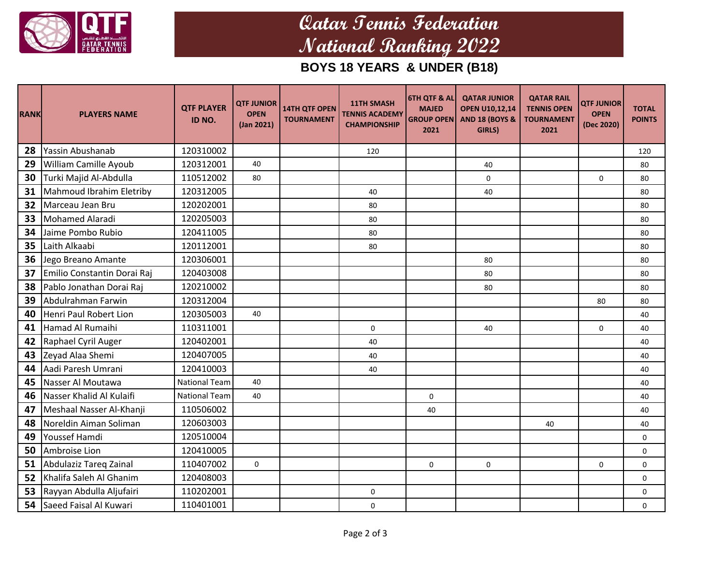

## **Qatar Tennis Federation National Ranking 2022**

**BOYS 18 YEARS & UNDER (B18)**

| <b>RANK</b> | <b>PLAYERS NAME</b>         | <b>QTF PLAYER</b><br>ID NO. | <b>QTF JUNIOR</b><br><b>OPEN</b><br>(Jan 2021) | <b>14TH QTF OPEN</b><br><b>TOURNAMENT</b> | <b>11TH SMASH</b><br><b>TENNIS ACADEMY</b><br><b>CHAMPIONSHIP</b> | <b>6TH QTF &amp; AL</b><br><b>MAJED</b><br><b>GROUP OPEN</b><br>2021 | <b>QATAR JUNIOR</b><br><b>OPEN U10,12,14</b><br><b>AND 18 (BOYS &amp;</b><br>GIRLS) | <b>QATAR RAIL</b><br><b>TENNIS OPEN</b><br><b>TOURNAMENT</b><br>2021 | <b>QTF JUNIOR</b><br><b>OPEN</b><br>(Dec 2020) | <b>TOTAL</b><br><b>POINTS</b> |
|-------------|-----------------------------|-----------------------------|------------------------------------------------|-------------------------------------------|-------------------------------------------------------------------|----------------------------------------------------------------------|-------------------------------------------------------------------------------------|----------------------------------------------------------------------|------------------------------------------------|-------------------------------|
| 28          | Yassin Abushanab            | 120310002                   |                                                |                                           | 120                                                               |                                                                      |                                                                                     |                                                                      |                                                | 120                           |
| 29          | William Camille Ayoub       | 120312001                   | 40                                             |                                           |                                                                   |                                                                      | 40                                                                                  |                                                                      |                                                | 80                            |
| 30          | Turki Majid Al-Abdulla      | 110512002                   | 80                                             |                                           |                                                                   |                                                                      | $\mathsf{O}\xspace$                                                                 |                                                                      | 0                                              | 80                            |
| 31          | Mahmoud Ibrahim Eletriby    | 120312005                   |                                                |                                           | 40                                                                |                                                                      | 40                                                                                  |                                                                      |                                                | 80                            |
| 32          | Marceau Jean Bru            | 120202001                   |                                                |                                           | 80                                                                |                                                                      |                                                                                     |                                                                      |                                                | 80                            |
| 33          | Mohamed Alaradi             | 120205003                   |                                                |                                           | 80                                                                |                                                                      |                                                                                     |                                                                      |                                                | 80                            |
| 34          | Jaime Pombo Rubio           | 120411005                   |                                                |                                           | 80                                                                |                                                                      |                                                                                     |                                                                      |                                                | 80                            |
| 35          | Laith Alkaabi               | 120112001                   |                                                |                                           | 80                                                                |                                                                      |                                                                                     |                                                                      |                                                | 80                            |
| 36          | Jego Breano Amante          | 120306001                   |                                                |                                           |                                                                   |                                                                      | 80                                                                                  |                                                                      |                                                | 80                            |
| 37          | Emilio Constantin Dorai Raj | 120403008                   |                                                |                                           |                                                                   |                                                                      | 80                                                                                  |                                                                      |                                                | 80                            |
| 38          | Pablo Jonathan Dorai Raj    | 120210002                   |                                                |                                           |                                                                   |                                                                      | 80                                                                                  |                                                                      |                                                | 80                            |
| 39          | Abdulrahman Farwin          | 120312004                   |                                                |                                           |                                                                   |                                                                      |                                                                                     |                                                                      | 80                                             | 80                            |
| 40          | Henri Paul Robert Lion      | 120305003                   | 40                                             |                                           |                                                                   |                                                                      |                                                                                     |                                                                      |                                                | 40                            |
| 41          | Hamad Al Rumaihi            | 110311001                   |                                                |                                           | $\mathsf{O}$                                                      |                                                                      | 40                                                                                  |                                                                      | 0                                              | 40                            |
| 42          | Raphael Cyril Auger         | 120402001                   |                                                |                                           | 40                                                                |                                                                      |                                                                                     |                                                                      |                                                | 40                            |
| 43          | Zeyad Alaa Shemi            | 120407005                   |                                                |                                           | 40                                                                |                                                                      |                                                                                     |                                                                      |                                                | 40                            |
| 44          | Aadi Paresh Umrani          | 120410003                   |                                                |                                           | 40                                                                |                                                                      |                                                                                     |                                                                      |                                                | 40                            |
| 45          | Nasser Al Moutawa           | <b>National Team</b>        | 40                                             |                                           |                                                                   |                                                                      |                                                                                     |                                                                      |                                                | 40                            |
| 46          | Nasser Khalid Al Kulaifi    | <b>National Team</b>        | 40                                             |                                           |                                                                   | $\pmb{0}$                                                            |                                                                                     |                                                                      |                                                | 40                            |
| 47          | Meshaal Nasser Al-Khanji    | 110506002                   |                                                |                                           |                                                                   | 40                                                                   |                                                                                     |                                                                      |                                                | 40                            |
| 48          | Noreldin Aiman Soliman      | 120603003                   |                                                |                                           |                                                                   |                                                                      |                                                                                     | 40                                                                   |                                                | 40                            |
| 49          | Youssef Hamdi               | 120510004                   |                                                |                                           |                                                                   |                                                                      |                                                                                     |                                                                      |                                                | 0                             |
| 50          | Ambroise Lion               | 120410005                   |                                                |                                           |                                                                   |                                                                      |                                                                                     |                                                                      |                                                | 0                             |
| 51          | Abdulaziz Tareq Zainal      | 110407002                   | 0                                              |                                           |                                                                   | $\mathbf 0$                                                          | $\mathbf 0$                                                                         |                                                                      | 0                                              | $\mathbf 0$                   |
| 52          | Khalifa Saleh Al Ghanim     | 120408003                   |                                                |                                           |                                                                   |                                                                      |                                                                                     |                                                                      |                                                | $\mathbf 0$                   |
| 53          | Rayyan Abdulla Aljufairi    | 110202001                   |                                                |                                           | 0                                                                 |                                                                      |                                                                                     |                                                                      |                                                | 0                             |
| 54          | Saeed Faisal Al Kuwari      | 110401001                   |                                                |                                           | $\mathbf 0$                                                       |                                                                      |                                                                                     |                                                                      |                                                | $\mathbf 0$                   |